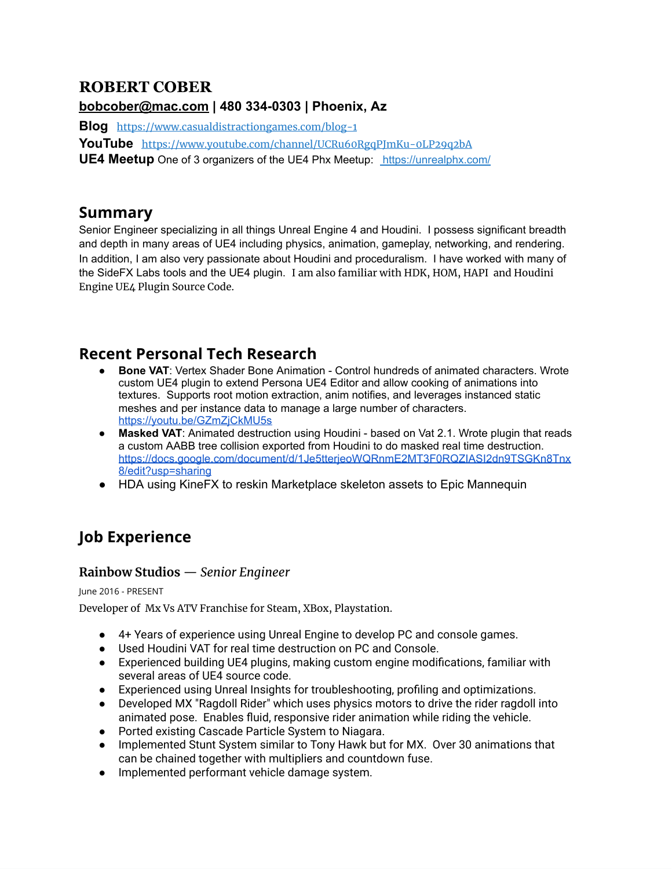# **ROBERT COBER**

## **[bobcober@mac.com](mailto:bobcober@mac.com) | 480 334-0303 | Phoenix, Az**

**Blog** <https://www.casualdistractiongames.com/blog-1>

**YouTube** <https://www.youtube.com/channel/UCRu60RgqPJmKu-0LP29q2bA>

**UE4 Meetup** One of 3 organizers of the UE4 Phx Meetup: https://unrealphx.com/

## **Summary**

Senior Engineer specializing in all things Unreal Engine 4 and Houdini. I possess significant breadth and depth in many areas of UE4 including physics, animation, gameplay, networking, and rendering. In addition, I am also very passionate about Houdini and proceduralism. I have worked with many of the SideFX Labs tools and the UE4 plugin. I am also familiar with HDK, HOM, HAPI and Houdini Engine UE4 Plugin Source Code.

# **Recent Personal Tech Research**

- **Bone VAT: Vertex Shader Bone Animation Control hundreds of animated characters. Wrote** custom UE4 plugin to extend Persona UE4 Editor and allow cooking of animations into textures. Supports root motion extraction, anim notifies, and leverages instanced static meshes and per instance data to manage a large number of characters. <https://youtu.be/GZmZjCkMU5s>
- **Masked VAT**: Animated destruction using Houdini based on Vat 2.1. Wrote plugin that reads a custom AABB tree collision exported from Houdini to do masked real time destruction. [https://docs.google.com/document/d/1Je5tterjeoWQRnmE2MT3F0RQZIASI2dn9TSGKn8Tnx](https://docs.google.com/document/d/1Je5tterjeoWQRnmE2MT3F0RQZIASI2dn9TSGKn8Tnx8/edit?usp=sharing) [8/edit?usp=sharing](https://docs.google.com/document/d/1Je5tterjeoWQRnmE2MT3F0RQZIASI2dn9TSGKn8Tnx8/edit?usp=sharing)
- HDA using KineFX to reskin Marketplace skeleton assets to Epic Mannequin

# **Job Experience**

## **Rainbow Studios** — *Senior Engineer*

June 2016 - PRESENT

Developer of Mx Vs ATV Franchise for Steam, XBox, Playstation.

- 4+ Years of experience using Unreal Engine to develop PC and console games.
- Used Houdini VAT for real time destruction on PC and Console.
- Experienced building UE4 plugins, making custom engine modifications, familiar with several areas of UE4 source code.
- Experienced using Unreal Insights for troubleshooting, profiling and optimizations.
- Developed MX "Ragdoll Rider" which uses physics motors to drive the rider ragdoll into animated pose. Enables fluid, responsive rider animation while riding the vehicle.
- Ported existing Cascade Particle System to Niagara.
- Implemented Stunt System similar to Tony Hawk but for MX. Over 30 animations that can be chained together with multipliers and countdown fuse.
- Implemented performant vehicle damage system.